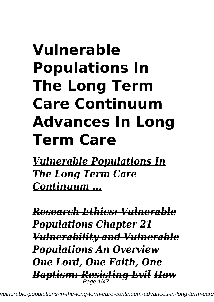# **Vulnerable Populations In The Long Term Care Continuum Advances In Long Term Care**

*Vulnerable Populations In The Long Term Care Continuum ...*

*Research Ethics: Vulnerable Populations Chapter 21 Vulnerability and Vulnerable Populations An Overview One Lord, One Faith, One Baptism: Resisting Evil How* Page 1/47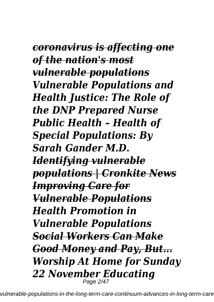*coronavirus is affecting one of the nation's most vulnerable populations Vulnerable Populations and Health Justice: The Role of the DNP Prepared Nurse Public Health – Health of Special Populations: By Sarah Gander M.D. Identifying vulnerable populations | Cronkite News Improving Care for Vulnerable Populations Health Promotion in Vulnerable Populations Social Workers Can Make Good Money and Pay, But... Worship At Home for Sunday 22 November Educating* Page 2/47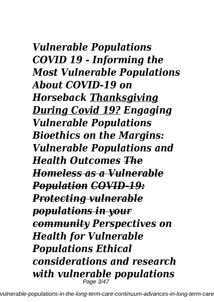*Vulnerable Populations COVID 19 - Informing the Most Vulnerable Populations About COVID-19 on Horseback Thanksgiving During Covid 19? Engaging Vulnerable Populations Bioethics on the Margins: Vulnerable Populations and Health Outcomes The Homeless as a Vulnerable Population COVID-19: Protecting vulnerable populations in your community Perspectives on Health for Vulnerable Populations Ethical considerations and research with vulnerable populations* Page 3/47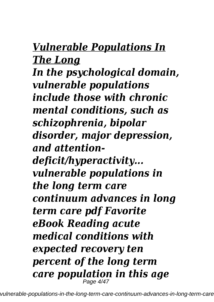# *Vulnerable Populations In The Long*

*In the psychological domain, vulnerable populations include those with chronic mental conditions, such as schizophrenia, bipolar disorder, major depression, and attentiondeficit/hyperactivity... vulnerable populations in the long term care continuum advances in long term care pdf Favorite eBook Reading acute medical conditions with expected recovery ten percent of the long term care population in this age* Page 4/47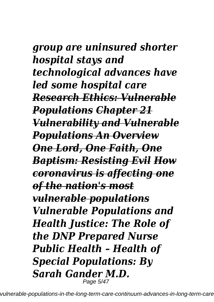# *group are uninsured shorter hospital stays and technological advances have led some hospital care Research Ethics: Vulnerable Populations Chapter 21 Vulnerability and Vulnerable Populations An Overview One Lord, One Faith, One Baptism: Resisting Evil How coronavirus is affecting one*

*of the nation's most vulnerable populations Vulnerable Populations and Health Justice: The Role of the DNP Prepared Nurse Public Health – Health of Special Populations: By Sarah Gander M.D.* Page 5/47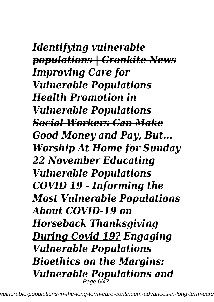*Identifying vulnerable populations | Cronkite News Improving Care for Vulnerable Populations Health Promotion in Vulnerable Populations Social Workers Can Make Good Money and Pay, But... Worship At Home for Sunday 22 November Educating Vulnerable Populations COVID 19 - Informing the Most Vulnerable Populations About COVID-19 on Horseback Thanksgiving During Covid 19? Engaging Vulnerable Populations Bioethics on the Margins: Vulnerable Populations and* Page 6/47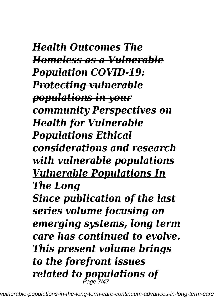*Health Outcomes The Homeless as a Vulnerable Population COVID-19: Protecting vulnerable populations in your community Perspectives on Health for Vulnerable Populations Ethical considerations and research with vulnerable populations Vulnerable Populations In The Long Since publication of the last series volume focusing on emerging systems, long term care has continued to evolve. This present volume brings to the forefront issues related to populations of* Page 7/47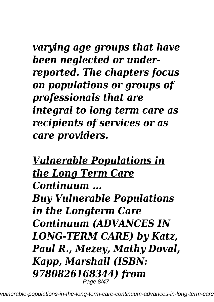*varying age groups that have been neglected or underreported. The chapters focus on populations or groups of professionals that are integral to long term care as recipients of services or as care providers.*

*Vulnerable Populations in the Long Term Care Continuum ... Buy Vulnerable Populations in the Longterm Care Continuum (ADVANCES IN LONG-TERM CARE) by Katz, Paul R., Mezey, Mathy Doval, Kapp, Marshall (ISBN: 9780826168344) from* Page 8/47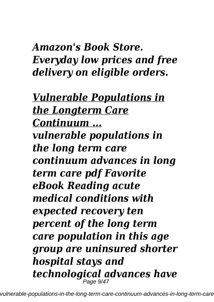*Amazon's Book Store. Everyday low prices and free delivery on eligible orders.*

*Vulnerable Populations in the Longterm Care Continuum ... vulnerable populations in the long term care continuum advances in long term care pdf Favorite eBook Reading acute medical conditions with expected recovery ten percent of the long term care population in this age group are uninsured shorter hospital stays and technological advances have* Page 9/47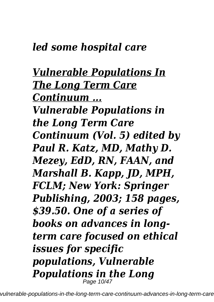### *led some hospital care*

### *Vulnerable Populations In The Long Term Care Continuum ... Vulnerable Populations in the Long Term Care Continuum (Vol. 5) edited by Paul R. Katz, MD, Mathy D. Mezey, EdD, RN, FAAN, and Marshall B. Kapp, JD, MPH, FCLM; New York: Springer Publishing, 2003; 158 pages, \$39.50. One of a series of books on advances in longterm care focused on ethical issues for specific populations, Vulnerable Populations in the Long* Page 10/47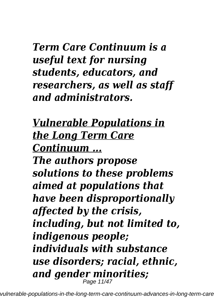*Term Care Continuum is a useful text for nursing students, educators, and researchers, as well as staff and administrators.*

*Vulnerable Populations in the Long Term Care Continuum ... The authors propose solutions to these problems aimed at populations that have been disproportionally affected by the crisis, including, but not limited to, indigenous people; individuals with substance use disorders; racial, ethnic, and gender minorities;* Page 11/47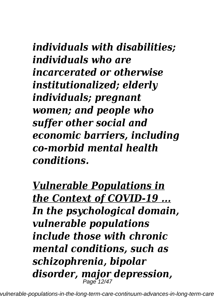*individuals with disabilities; individuals who are incarcerated or otherwise institutionalized; elderly individuals; pregnant women; and people who suffer other social and economic barriers, including co-morbid mental health conditions.*

*Vulnerable Populations in the Context of COVID-19 ... In the psychological domain, vulnerable populations include those with chronic mental conditions, such as schizophrenia, bipolar disorder, major depression,* Page 12/47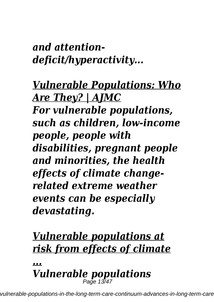*and attentiondeficit/hyperactivity...*

*Vulnerable Populations: Who Are They? | AJMC For vulnerable populations, such as children, low-income people, people with disabilities, pregnant people and minorities, the health effects of climate changerelated extreme weather events can be especially devastating.*

# *Vulnerable populations at risk from effects of climate*

*... Vulnerable populations* Page 13/47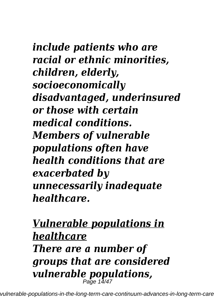*include patients who are racial or ethnic minorities, children, elderly, socioeconomically disadvantaged, underinsured or those with certain medical conditions. Members of vulnerable populations often have health conditions that are exacerbated by unnecessarily inadequate healthcare.*

### *Vulnerable populations in healthcare*

*There are a number of groups that are considered vulnerable populations,* Page 14/47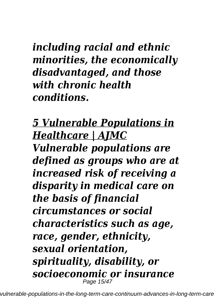*including racial and ethnic minorities, the economically disadvantaged, and those with chronic health conditions.*

*5 Vulnerable Populations in Healthcare | AJMC*

*Vulnerable populations are defined as groups who are at increased risk of receiving a disparity in medical care on the basis of financial circumstances or social characteristics such as age, race, gender, ethnicity, sexual orientation, spirituality, disability, or socioeconomic or insurance* Page 15/47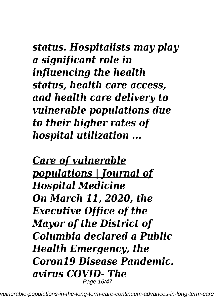*status. Hospitalists may play a significant role in influencing the health status, health care access, and health care delivery to vulnerable populations due to their higher rates of hospital utilization ...*

*Care of vulnerable populations | Journal of Hospital Medicine On March 11, 2020, the Executive Office of the Mayor of the District of Columbia declared a Public Health Emergency, the Coron19 Disease Pandemic. avirus COVID- The* Page 16/47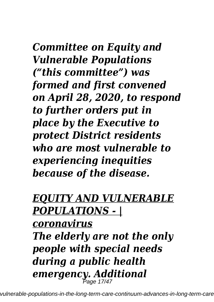*Committee on Equity and Vulnerable Populations ("this committee") was formed and first convened on April 28, 2020, to respond to further orders put in place by the Executive to protect District residents who are most vulnerable to experiencing inequities because of the disease.*

## *EQUITY AND VULNERABLE POPULATIONS - |*

*coronavirus The elderly are not the only people with special needs during a public health emergency. Additional* Page 17/47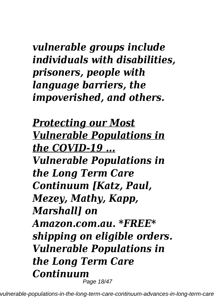## *vulnerable groups include individuals with disabilities, prisoners, people with language barriers, the impoverished, and others.*

*Protecting our Most Vulnerable Populations in the COVID-19 ... Vulnerable Populations in the Long Term Care Continuum [Katz, Paul, Mezey, Mathy, Kapp, Marshall] on Amazon.com.au. \*FREE\* shipping on eligible orders. Vulnerable Populations in the Long Term Care Continuum* Page 18/47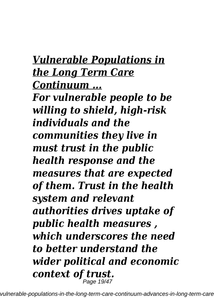*Vulnerable Populations in the Long Term Care Continuum ... For vulnerable people to be willing to shield, high-risk individuals and the communities they live in must trust in the public health response and the measures that are expected of them. Trust in the health system and relevant authorities drives uptake of public health measures , which underscores the need to better understand the wider political and economic context of trust.* Page 19/47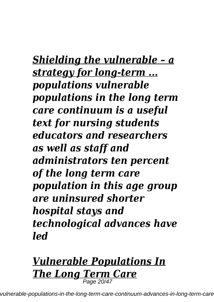*Shielding the vulnerable – a strategy for long-term ... populations vulnerable populations in the long term care continuum is a useful text for nursing students educators and researchers as well as staff and administrators ten percent of the long term care population in this age group are uninsured shorter hospital stays and technological advances have led*

# *Vulnerable Populations In The Long Term Care* Page 20/47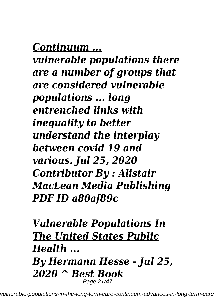*Continuum ...*

*vulnerable populations there are a number of groups that are considered vulnerable populations ... long entrenched links with inequality to better understand the interplay between covid 19 and various. Jul 25, 2020 Contributor By : Alistair MacLean Media Publishing PDF ID a80af89c*

### *Vulnerable Populations In The United States Public Health ... By Hermann Hesse - Jul 25, 2020 ^ Best Book* Page 21/47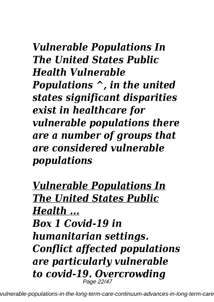## *Vulnerable Populations In The United States Public Health Vulnerable Populations ^, in the united states significant disparities exist in healthcare for vulnerable populations there are a number of groups that are considered vulnerable populations*

*Vulnerable Populations In The United States Public Health ... Box 1 Covid-19 in humanitarian settings. Conflict affected populations are particularly vulnerable to covid-19. Overcrowding* Page 22/47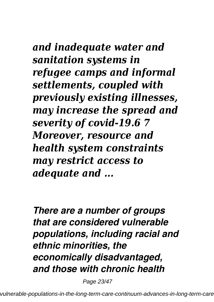## *and inadequate water and sanitation systems in refugee camps and informal settlements, coupled with previously existing illnesses, may increase the spread and severity of covid-19.6 7 Moreover, resource and health system constraints may restrict access to adequate and ...*

*There are a number of groups that are considered vulnerable populations, including racial and ethnic minorities, the economically disadvantaged, and those with chronic health*

Page 23/47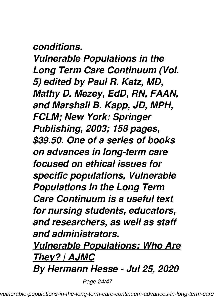#### *conditions.*

*Vulnerable Populations in the Long Term Care Continuum (Vol. 5) edited by Paul R. Katz, MD, Mathy D. Mezey, EdD, RN, FAAN, and Marshall B. Kapp, JD, MPH, FCLM; New York: Springer Publishing, 2003; 158 pages, \$39.50. One of a series of books on advances in long-term care focused on ethical issues for specific populations, Vulnerable Populations in the Long Term Care Continuum is a useful text for nursing students, educators, and researchers, as well as staff and administrators.*

*Vulnerable Populations: Who Are They? | AJMC By Hermann Hesse - Jul 25, 2020*

Page 24/47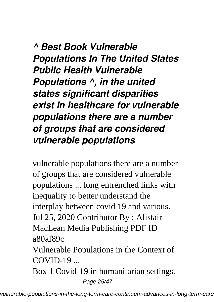*^ Best Book Vulnerable Populations In The United States Public Health Vulnerable Populations ^, in the united states significant disparities exist in healthcare for vulnerable populations there are a number of groups that are considered vulnerable populations*

vulnerable populations there are a number of groups that are considered vulnerable populations ... long entrenched links with inequality to better understand the interplay between covid 19 and various. Jul 25, 2020 Contributor By : Alistair MacLean Media Publishing PDF ID a80af89c

Vulnerable Populations in the Context of COVID-19 ...

Box 1 Covid-19 in humanitarian settings.

Page 25/47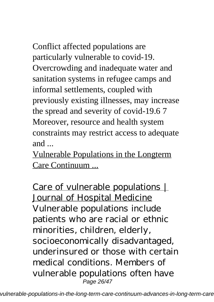Conflict affected populations are particularly vulnerable to covid-19. Overcrowding and inadequate water and sanitation systems in refugee camps and informal settlements, coupled with previously existing illnesses, may increase the spread and severity of covid-19.6 7 Moreover, resource and health system constraints may restrict access to adequate and ...

Vulnerable Populations in the Longterm Care Continuum ...

Care of vulnerable populations | Journal of Hospital Medicine Vulnerable populations include patients who are racial or ethnic minorities, children, elderly, socioeconomically disadvantaged, underinsured or those with certain medical conditions. Members of vulnerable populations often have Page 26/47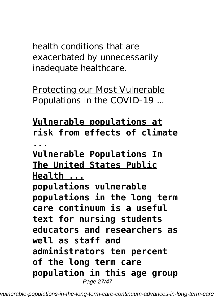health conditions that are exacerbated by unnecessarily inadequate healthcare.

Protecting our Most Vulnerable Populations in the COVID-19 ...

### **Vulnerable populations at risk from effects of climate**

**...**

**Vulnerable Populations In The United States Public Health ... populations vulnerable populations in the long term care continuum is a useful text for nursing students educators and researchers as well as staff and administrators ten percent of the long term care population in this age group** Page 27/47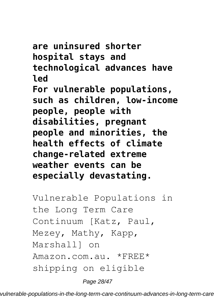**are uninsured shorter hospital stays and technological advances have led For vulnerable populations, such as children, low-income people, people with disabilities, pregnant people and minorities, the health effects of climate change-related extreme weather events can be especially devastating.**

Vulnerable Populations in the Long Term Care Continuum [Katz, Paul, Mezey, Mathy, Kapp, Marshall] on Amazon.com.au. \*FREE\* shipping on eligible

Page 28/47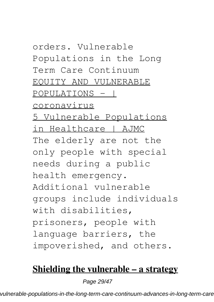orders. Vulnerable Populations in the Long Term Care Continuum EQUITY AND VULNERABLE POPULATIONS - | coronavirus 5 Vulnerable Populations in Healthcare | AJMC The elderly are not the only people with special needs during a public health emergency. Additional vulnerable groups include individuals with disabilities, prisoners, people with language barriers, the impoverished, and others.

#### **Shielding the vulnerable – a strategy**

Page 29/47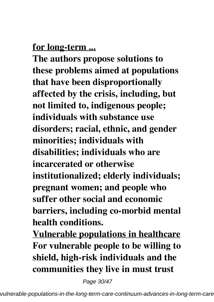#### **for long-term ...**

**The authors propose solutions to these problems aimed at populations that have been disproportionally affected by the crisis, including, but not limited to, indigenous people; individuals with substance use disorders; racial, ethnic, and gender minorities; individuals with disabilities; individuals who are incarcerated or otherwise institutionalized; elderly individuals; pregnant women; and people who suffer other social and economic barriers, including co-morbid mental health conditions.**

**Vulnerable populations in healthcare For vulnerable people to be willing to shield, high-risk individuals and the communities they live in must trust**

Page 30/47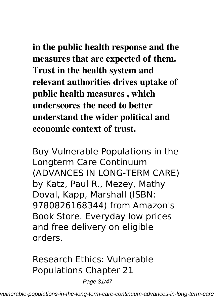**in the public health response and the measures that are expected of them. Trust in the health system and relevant authorities drives uptake of public health measures , which underscores the need to better understand the wider political and economic context of trust.**

Buy Vulnerable Populations in the Longterm Care Continuum (ADVANCES IN LONG-TERM CARE) by Katz, Paul R., Mezey, Mathy Doval, Kapp, Marshall (ISBN: 9780826168344) from Amazon's Book Store. Everyday low prices and free delivery on eligible orders.

### Research Ethics: Vulnerable Populations Chapter 21

Page 31/47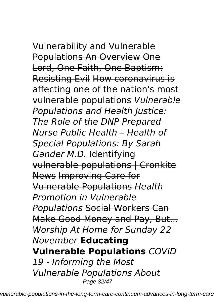Vulnerability and Vulnerable Populations An Overview One Lord, One Faith, One Baptism: Resisting Evil How coronavirus is affecting one of the nation's most vulnerable populations *Vulnerable Populations and Health Justice: The Role of the DNP Prepared Nurse Public Health – Health of Special Populations: By Sarah Gander M.D.* Identifying vulnerable populations | Cronkite News Improving Care for Vulnerable Populations *Health Promotion in Vulnerable Populations* Social Workers Can Make Good Money and Pay, But... *Worship At Home for Sunday 22 November* **Educating Vulnerable Populations** *COVID 19 - Informing the Most Vulnerable Populations About* Page 32/47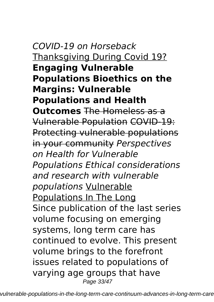*COVID-19 on Horseback* Thanksgiving During Covid 19? **Engaging Vulnerable Populations Bioethics on the Margins: Vulnerable Populations and Health Outcomes** The Homeless as a Vulnerable Population COVID-19: Protecting vulnerable populations in your community *Perspectives on Health for Vulnerable Populations Ethical considerations and research with vulnerable populations* Vulnerable Populations In The Long Since publication of the last series volume focusing on emerging systems, long term care has continued to evolve. This present volume brings to the forefront issues related to populations of varying age groups that have Page 33/47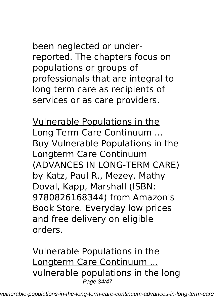been neglected or underreported. The chapters focus on populations or groups of professionals that are integral to long term care as recipients of services or as care providers.

Vulnerable Populations in the Long Term Care Continuum ... Buy Vulnerable Populations in the Longterm Care Continuum (ADVANCES IN LONG-TERM CARE) by Katz, Paul R., Mezey, Mathy Doval, Kapp, Marshall (ISBN: 9780826168344) from Amazon's Book Store. Everyday low prices and free delivery on eligible orders.

Vulnerable Populations in the Longterm Care Continuum ... vulnerable populations in the long Page 34/47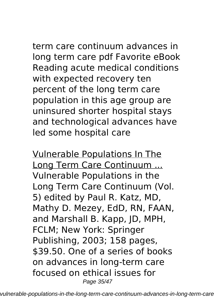# term care continuum advances in long term care pdf Favorite eBook Reading acute medical conditions

with expected recovery ten percent of the long term care population in this age group are uninsured shorter hospital stays and technological advances have led some hospital care

Vulnerable Populations In The Long Term Care Continuum ... Vulnerable Populations in the Long Term Care Continuum (Vol. 5) edited by Paul R. Katz, MD, Mathy D. Mezey, EdD, RN, FAAN, and Marshall B. Kapp, JD, MPH, FCLM; New York: Springer Publishing, 2003; 158 pages, \$39.50. One of a series of books on advances in long-term care focused on ethical issues for Page 35/47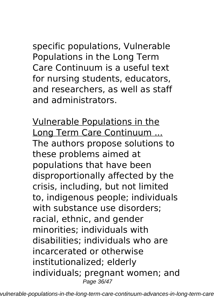specific populations, Vulnerable Populations in the Long Term Care Continuum is a useful text for nursing students, educators, and researchers, as well as staff and administrators.

Vulnerable Populations in the Long Term Care Continuum ... The authors propose solutions to these problems aimed at populations that have been disproportionally affected by the crisis, including, but not limited to, indigenous people; individuals with substance use disorders; racial, ethnic, and gender minorities; individuals with disabilities; individuals who are incarcerated or otherwise institutionalized; elderly individuals; pregnant women; and Page 36/47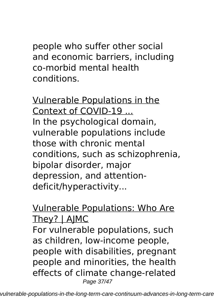people who suffer other social and economic barriers, including co-morbid mental health conditions.

Vulnerable Populations in the Context of COVID-19 ... In the psychological domain, vulnerable populations include those with chronic mental conditions, such as schizophrenia, bipolar disorder, major depression, and attentiondeficit/hyperactivity...

#### Vulnerable Populations: Who Are They? | AJMC

For vulnerable populations, such as children, low-income people, people with disabilities, pregnant people and minorities, the health effects of climate change-related Page 37/47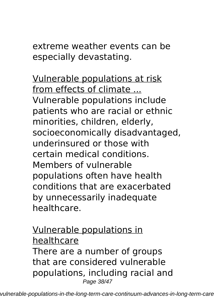extreme weather events can be especially devastating.

Vulnerable populations at risk from effects of climate ... Vulnerable populations include patients who are racial or ethnic minorities, children, elderly, socioeconomically disadvantaged, underinsured or those with certain medical conditions. Members of vulnerable populations often have health conditions that are exacerbated by unnecessarily inadequate healthcare.

Vulnerable populations in healthcare There are a number of groups that are considered vulnerable populations, including racial and Page 38/47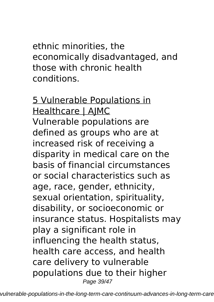ethnic minorities, the economically disadvantaged, and those with chronic health conditions.

5 Vulnerable Populations in Healthcare | AJMC Vulnerable populations are defined as groups who are at increased risk of receiving a disparity in medical care on the basis of financial circumstances or social characteristics such as age, race, gender, ethnicity, sexual orientation, spirituality, disability, or socioeconomic or insurance status. Hospitalists may play a significant role in influencing the health status, health care access, and health care delivery to vulnerable populations due to their higher Page 39/47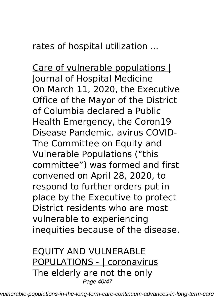rates of hospital utilization ...

Care of vulnerable populations I Journal of Hospital Medicine On March 11, 2020, the Executive Office of the Mayor of the District of Columbia declared a Public Health Emergency, the Coron19 Disease Pandemic. avirus COVID-The Committee on Equity and Vulnerable Populations ("this committee") was formed and first convened on April 28, 2020, to respond to further orders put in place by the Executive to protect District residents who are most vulnerable to experiencing inequities because of the disease.

EQUITY AND VULNERABLE POPULATIONS - | coronavirus The elderly are not the only Page 40/47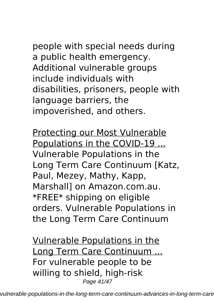people with special needs during a public health emergency. Additional vulnerable groups include individuals with disabilities, prisoners, people with language barriers, the impoverished, and others.

Protecting our Most Vulnerable Populations in the COVID-19 ... Vulnerable Populations in the Long Term Care Continuum [Katz, Paul, Mezey, Mathy, Kapp, Marshall] on Amazon.com.au. \*FREE\* shipping on eligible orders. Vulnerable Populations in the Long Term Care Continuum

Vulnerable Populations in the Long Term Care Continuum ... For vulnerable people to be willing to shield, high-risk Page 41/47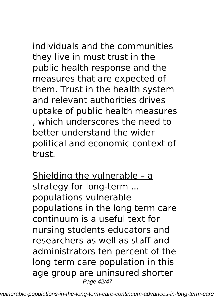individuals and the communities they live in must trust in the public health response and the measures that are expected of them. Trust in the health system and relevant authorities drives uptake of public health measures , which underscores the need to better understand the wider political and economic context of trust.

Shielding the vulnerable – a strategy for long-term ... populations vulnerable populations in the long term care continuum is a useful text for nursing students educators and researchers as well as staff and administrators ten percent of the long term care population in this age group are uninsured shorter Page 42/47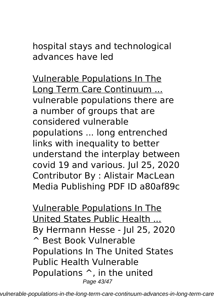hospital stays and technological advances have led

Vulnerable Populations In The Long Term Care Continuum ... vulnerable populations there are a number of groups that are considered vulnerable populations ... long entrenched links with inequality to better understand the interplay between covid 19 and various. Jul 25, 2020 Contributor By : Alistair MacLean Media Publishing PDF ID a80af89c

Vulnerable Populations In The United States Public Health ... By Hermann Hesse - Jul 25, 2020 ^ Best Book Vulnerable Populations In The United States Public Health Vulnerable Populations ^, in the united Page 43/47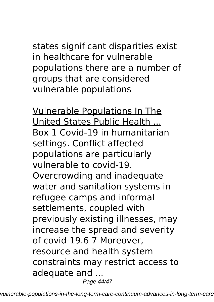states significant disparities exist in healthcare for vulnerable populations there are a number of groups that are considered vulnerable populations

Vulnerable Populations In The United States Public Health ... Box 1 Covid-19 in humanitarian settings. Conflict affected populations are particularly vulnerable to covid-19. Overcrowding and inadequate water and sanitation systems in refugee camps and informal settlements, coupled with previously existing illnesses, may increase the spread and severity of covid-19.6 7 Moreover, resource and health system constraints may restrict access to adequate and ... Page 44/47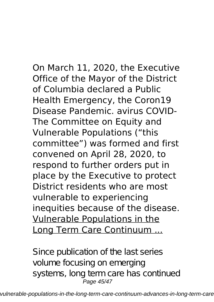On March 11, 2020, the Executive Office of the Mayor of the District of Columbia declared a Public Health Emergency, the Coron19 Disease Pandemic. avirus COVID-The Committee on Equity and Vulnerable Populations ("this committee") was formed and first convened on April 28, 2020, to respond to further orders put in place by the Executive to protect District residents who are most vulnerable to experiencing inequities because of the disease. Vulnerable Populations in the Long Term Care Continuum ...

Since publication of the last series volume focusing on emerging systems, long term care has continued Page 45/47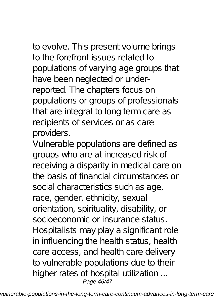to evolve. This present volume brings to the forefront issues related to populations of varying age groups that have been neglected or underreported. The chapters focus on populations or groups of professionals that are integral to long term care as recipients of services or as care providers.

Vulnerable populations are defined as groups who are at increased risk of receiving a disparity in medical care on the basis of financial circumstances or social characteristics such as age, race, gender, ethnicity, sexual orientation, spirituality, disability, or socioeconomic or insurance status. Hospitalists may play a significant role in influencing the health status, health care access, and health care delivery to vulnerable populations due to their higher rates of hospital utilization ... Page 46/47